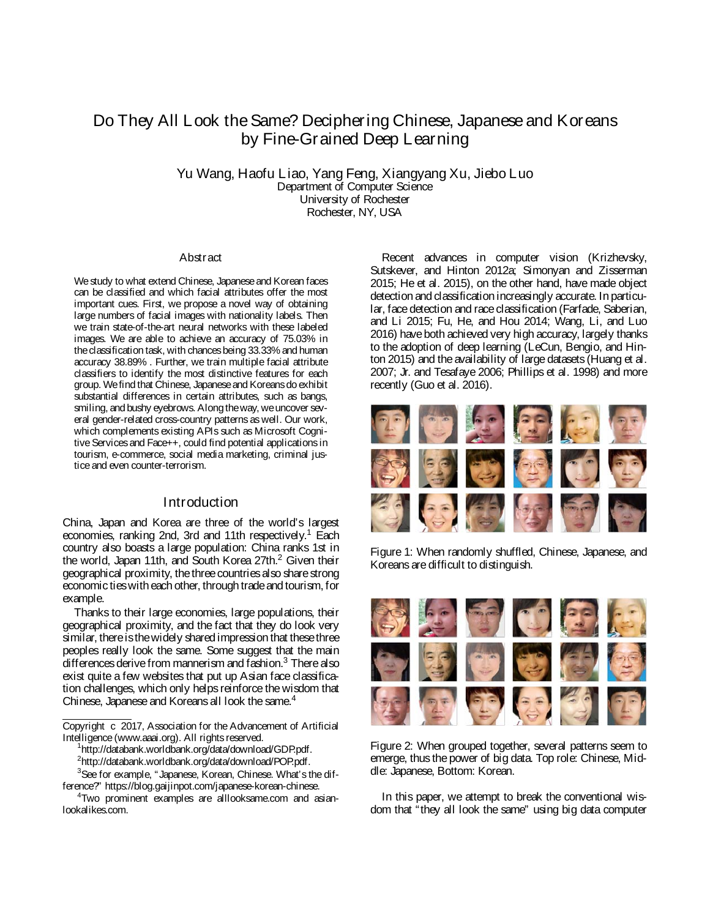# Do They All Look the Same? Deciphering Chinese, Japanese and Koreans by Fine-Grained Deep Learning

Yu Wang, Haofu L iao, Yang Feng, Xiangyang Xu, Jiebo L uo Department of Computer Science University of Rochester Rochester, NY, USA

#### **Abstract**

We study to what extend Chinese, Japanese and Korean faces can be classified and which facial attributes offer the most important cues. First, we propose a novel way of obtaining large numbers of facial images with nationality labels. Then we train state-of-the-art neural networks with these labeled images. We are able to achieve an accuracy of 75.03% in the classification task, with chancesbeing 33.33% and human accuracy 38.89% . Further, we train multiple facial attribute classifiers to identify the most distinctive features for each group. We find that Chinese, Japanese and Koreans do exhibit substantial differences in certain attributes, such as bangs, smiling, and bushy eyebrows. Along the way, we uncover several gender-related cross-country patterns as well. Our work, which complements existing APIs such as Microsoft Cognitive Services and Face++, could find potential applications in tourism, e-commerce, social media marketing, criminal justice and even counter-terrorism.

## **Introduction**

China, Japan and Korea are three of the world's largest economies, ranking 2nd, 3rd and 11th respectively.<sup>1</sup> Each country also boasts a large population: China ranks 1st in the world, Japan 11th, and South Korea 27th.<sup>2</sup> Given their geographical proximity, the three countries also share strong economic ties with each other, through trade and tourism, for example.

Thanks to their large economies, large populations, their geographical proximity, and the fact that they do look very similar, thereisthewidely shared impression that thesethree peoples really look the same. Some suggest that the main differences derive from mannerism and fashion.<sup>3</sup> There also exist quite a few websites that put up Asian face classification challenges, which only helps reinforce the wisdom that Chinese, Japanese and Koreans all look the same.<sup>4</sup>

http://databank.worldbank.org/data/download/GDP.pdf.

<sup>2</sup>http://databank.worldbank.org/data/download/POP.pdf.

<sup>3</sup>See for example, "Japanese, Korean, Chinese. What's the difference?" https://blog.gaijinpot.com/japanese-korean-chinese.

Recent advances in computer vision (Krizhevsky, Sutskever, and Hinton 2012a; Simonyan and Zisserman 2015; He et al. 2015), on the other hand, have made object detection and classification increasingly accurate. In particular, face detection and race classification (Farfade, Saberian, and Li 2015; Fu, He, and Hou 2014; Wang, Li, and Luo 2016) have both achieved very high accuracy, largely thanks to the adoption of deep learning (LeCun, Bengio, and Hinton 2015) and the availability of large datasets (Huang et al. 2007; Jr. and Tesafaye 2006; Phillips et al. 1998) and more recently (Guo et al. 2016).



Figure 1: When randomly shuffled, Chinese, Japanese, and Koreans are difficult to distinguish.



Figure 2: When grouped together, several patterns seem to emerge, thusthe power of big data. Top role: Chinese, Middle: Japanese, Bottom: Korean.

In this paper, we attempt to break the conventional wisdom that "they all look the same" using big data computer

Copyright c 2017, Association for the Advancement of Artificial Intelligence (www.aaai.org). All rights reserved. <sup>1</sup>

<sup>4</sup> Two prominent examples are alllooksame.com and asianlookalikes.com.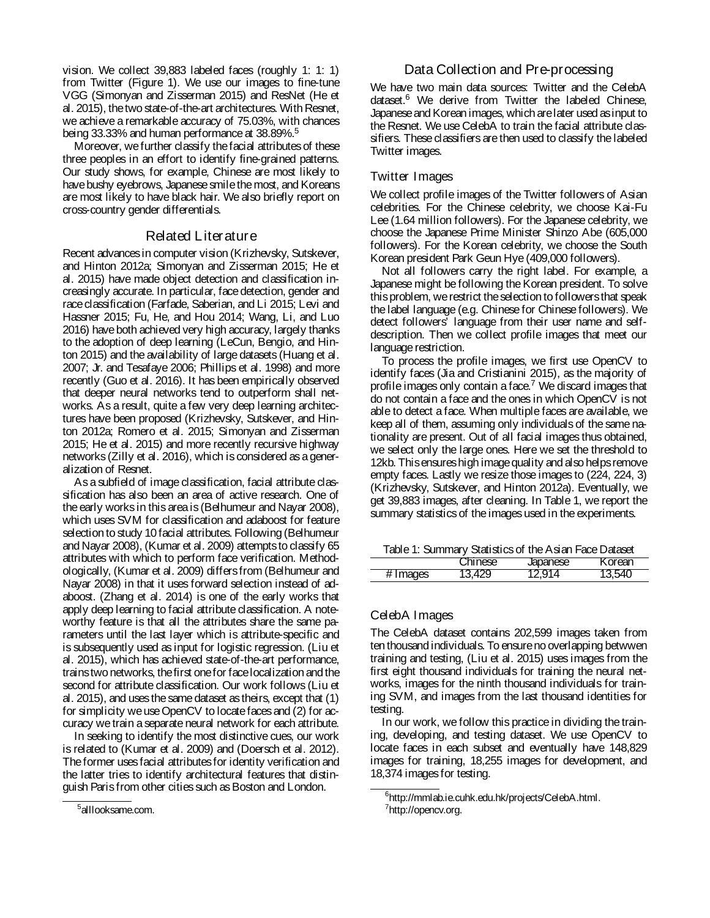vision. We collect 39,883 labeled faces (roughly 1: 1: 1) from Twitter (Figure 1). We use our images to fine-tune VGG (Simonyan and Zisserman 2015) and ResNet (He et al. 2015), thetwo state-of-the-art architectures. With Resnet, we achieve a remarkable accuracy of 75.03%, with chances being 33.33% and human performance at 38.89%.<sup>5</sup>

Moreover, wefurther classify thefacial attributes of these three peoples in an effort to identify fine-grained patterns. Our study shows, for example, Chinese are most likely to have bushy eyebrows, Japanese smile the most, and Koreans are most likely to have black hair. We also briefly report on cross-country gender differentials.

### Related L iter ature

Recent advancesin computer vision (Krizhevsky, Sutskever, and Hinton 2012a; Simonyan and Zisserman 2015; He et al. 2015) have made object detection and classification increasingly accurate. In particular, face detection, gender and race classification (Farfade, Saberian, and Li 2015; Levi and Hassner 2015; Fu, He, and Hou 2014; Wang, Li, and Luo 2016) have both achieved very high accuracy, largely thanks to the adoption of deep learning (LeCun, Bengio, and Hinton 2015) and the availability of large datasets (Huang et al. 2007; Jr. and Tesafaye 2006; Phillips et al. 1998) and more recently (Guo et al. 2016). It has been empirically observed that deeper neural networks tend to outperform shall networks. As a result, quite a few very deep learning architectures have been proposed (Krizhevsky, Sutskever, and Hinton 2012a; Romero et al. 2015; Simonyan and Zisserman 2015; He et al. 2015) and more recently recursive highway networks (Zilly et al. 2016), which is considered as a generalization of Resnet.

As a subfield of image classification, facial attribute classification has also been an area of active research. One of the early works in this area is (Belhumeur and Nayar 2008), which uses SVM for classification and adaboost for feature selection to study 10 facial attributes. Following (Belhumeur and Nayar 2008), (Kumar et al. 2009) attemptsto classify 65 attributes with which to perform face verification. Methodologically, (Kumar et al. 2009) differsfrom (Belhumeur and Nayar 2008) in that it uses forward selection instead of adaboost. (Zhang et al. 2014) is one of the early works that apply deep learning to facial attribute classification. A noteworthy feature is that all the attributes share the same parameters until the last layer which is attribute-specific and is subsequently used as input for logistic regression. (Liu et al. 2015), which has achieved state-of-the-art performance, trainstwo networks, thefirst onefor facelocalization andthe second for attribute classification. Our work follows (Liu et al. 2015), and usesthe same dataset astheirs, except that (1) for simplicity we use OpenCV to locate faces and (2) for accuracy wetrain a separate neural network for each attribute.

In seeking to identify the most distinctive cues, our work is related to (Kumar et al. 2009) and (Doersch et al. 2012). Theformer usesfacial attributesfor identity verification and the latter tries to identify architectural features that distinguish Parisfrom other cities such as Boston and London.

## Data Collection and Pre-processing

We have two main data sources: Twitter and the CelebA dataset.<sup>6</sup> We derive from Twitter the labeled Chinese, Japaneseand Korean images, which arelater used asinput to the Resnet. We use CelebA to train the facial attribute classifiers. These classifiers arethen used to classify the labeled Twitter images.

#### Twitter Images

We collect profile images of the Twitter followers of Asian celebrities. For the Chinese celebrity, we choose Kai-Fu Lee (1.64 million followers). For the Japanese celebrity, we choose the Japanese Prime Minister Shinzo Abe (605,000 followers). For the Korean celebrity, we choose the South Korean president Park Geun Hye (409,000 followers).

Not all followers carry the right label. For example, a Japanese might be following the Korean president. To solve thisproblem, we restrict theselection to followersthat speak the label language (e.g. Chinese for Chinese followers). We detect followers' language from their user name and selfdescription. Then we collect profile images that meet our language restriction.

To process the profile images, we first use OpenCV to identify faces (Jia and Cristianini 2015), as the majority of profile images only contain a face. $<sup>7</sup>$  We discard images that</sup> do not contain a face and the ones in which OpenCV is not able to detect a face. When multiple faces are available, we keep all of them, assuming only individuals of the same nationality are present. Out of all facial images thus obtained, we select only the large ones. Here we set the threshold to 12kb. This ensures high image quality and also helps remove empty faces. Lastly we resize those images to (224, 224, 3) (Krizhevsky, Sutskever, and Hinton 2012a). Eventually, we get 39,883 images, after cleaning. In Table 1, we report the summary statistics of the images used in the experiments.

Table 1: Summary Statistics of the Asian Face Dataset

|                 | าese   | anese    |  |
|-----------------|--------|----------|--|
| nades<br># ımag | $-4/4$ | 1 2 U LA |  |

## CelebA Images

The CelebA dataset contains 202,599 images taken from ten thousand individuals. To ensureno overlapping betwwen training and testing, (Liu et al. 2015) uses images from the first eight thousand individuals for training the neural networks, images for the ninth thousand individuals for training SVM, and images from the last thousand identities for testing.

In our work, we follow this practice in dividing the training, developing, and testing dataset. We use OpenCV to locate faces in each subset and eventually have 148,829 images for training, 18,255 images for development, and 18,374 imagesfor testing.

<sup>&</sup>lt;sup>5</sup>alllooksame.com.

<sup>6</sup> http://mmlab.ie.cuhk.edu.hk/projects/CelebA.html.

<sup>&</sup>lt;sup>7</sup>http://opencv.org.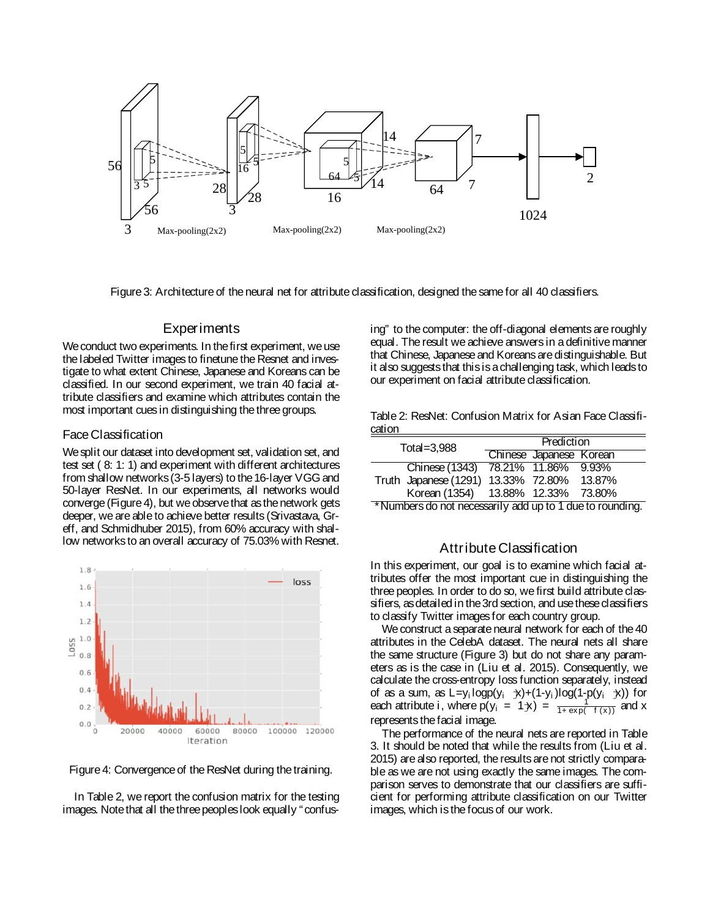

Figure 3: Architecture of the neural net for attribute classification, designed the same for all 40 classifiers.

#### **Experiments**

We conduct two experiments. In the first experiment, we use the labeled Twitter images to finetune the Resnet and investigate to what extent Chinese, Japanese and Koreans can be classified. In our second experiment, we train 40 facial attribute classifiers and examine which attributes contain the most important cues in distinguishing the three groups.

#### Face Classification

We split our dataset into development set, validation set, and test set ( 8: 1: 1) and experiment with different architectures from shallow networks (3-5 layers) to the 16-layer VGG and 50-layer ResNet. In our experiments, all networks would converge (Figure 4), but we observethat asthe network gets deeper, we are able to achieve better results (Srivastava, Greff, and Schmidhuber 2015), from 60% accuracy with shallow networksto an overall accuracy of 75.03% with Resnet.



Figure 4: Convergence of the ResNet during the training.

In Table 2, we report the confusion matrix for the testing images. Note that all the three peoples look equally "confusing" to the computer: the off-diagonal elements are roughly equal. The result we achieve answers in a definitive manner that Chinese, Japanese and Koreans are distinguishable. But it also suggeststhat this is a challenging task, which leadsto our experiment on facial attribute classification.

Table 2: ResNet: Confusion Matrix for Asian Face Classification

| Total= $3.988$ |                                            | Prediction |                         |  |
|----------------|--------------------------------------------|------------|-------------------------|--|
|                |                                            |            | Chinese Japanese Korean |  |
|                | Chinese (1343) 78.21% 11.86% 9.93%         |            |                         |  |
|                | Truth Japanese (1291) 13.33% 72.80% 13.87% |            |                         |  |
|                | Korean (1354) 13.88% 12.33% 73.80%         |            |                         |  |

\*Numbers do not necessarily add up to 1 dueto rounding.

## Attribute Classification

In this experiment, our goal is to examine which facial attributes offer the most important cue in distinguishing the three peoples. In order to do so, we first build attribute classifiers, asdetailed in the3rd section, and usethese classifiers to classify Twitter imagesfor each country group.

We construct a separate neural network for each of the 40 attributes in the CelebA dataset. The neural nets all share the same structure (Figure 3) but do not share any parameters as is the case in (Liu et al. 2015). Consequently, we calculate the cross-entropy loss function separately, instead of as a sum, as  $L=y_i \text{logp}(y_i \neq x) + (1-y_i) \text{log}(1-p(y_i \neq x))$  for each attribute i, where  $p(y_i = 1)x$  =  $\frac{1}{1+exp(-1)}$  and x represents the facial image.

The performance of the neural nets are reported in Table 3. It should be noted that while the results from (Liu et al. 2015) are also reported, the results are not strictly comparable as we are not using exactly the same images. The comparison serves to demonstrate that our classifiers are sufficient for performing attribute classification on our Twitter images, which isthefocus of our work.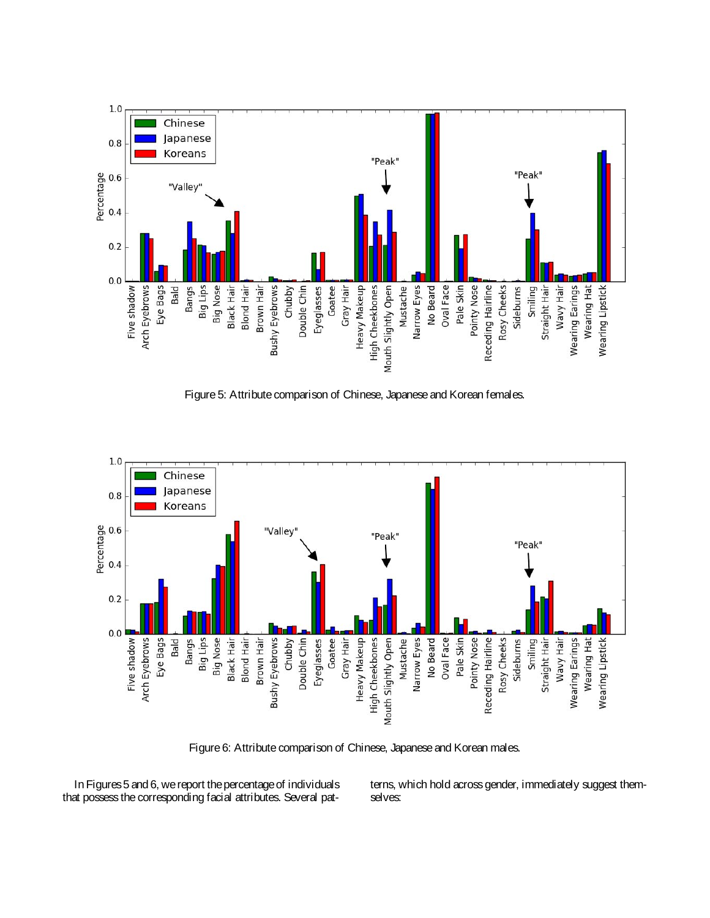

Figure 5: Attribute comparison of Chinese, Japanese and Korean females.



Figure 6: Attribute comparison of Chinese, Japanese and Korean males.

In Figures5 and 6, we report thepercentageof individuals that possess the corresponding facial attributes. Several patterns, which hold across gender, immediately suggest themselves: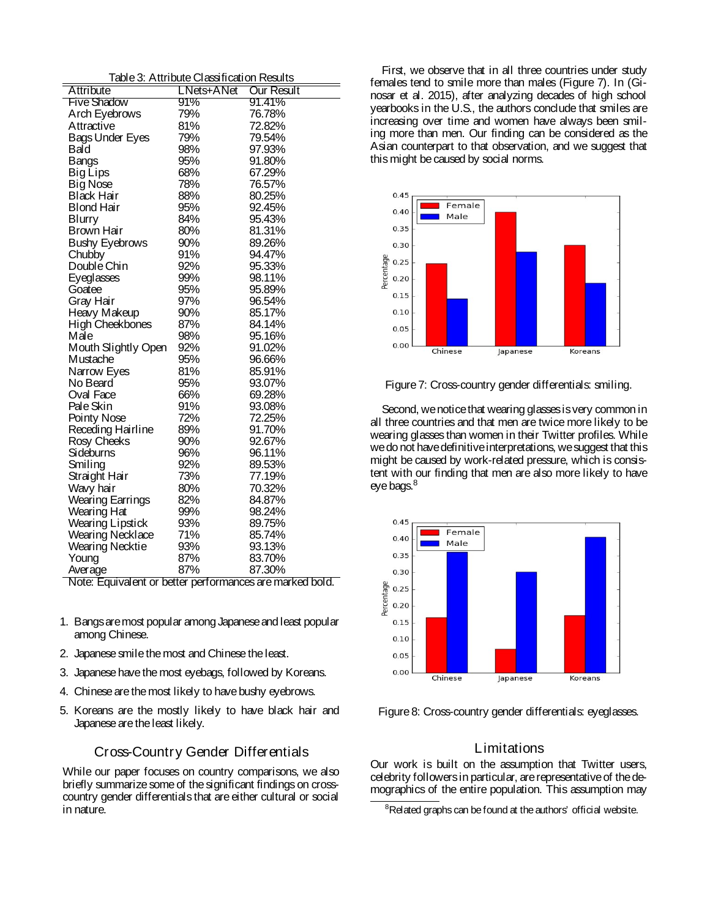|  | Table 3: Attribute Classification Results |  |
|--|-------------------------------------------|--|
|  |                                           |  |

| Attribute               | LNets+ANet | <b>Our Result</b> |
|-------------------------|------------|-------------------|
| <b>Five Shadow</b>      | 91%        | 91.41%            |
| Arch Eyebrows           | 79%        | 76.78%            |
| Attractive              | 81%        | 72.82%            |
| Bags Under Eyes         | 79%        | 79.54%            |
| Bald                    | 98%        | 97.93%            |
| <b>Bangs</b>            | 95%        | 91.80%            |
| <b>Big Lips</b>         | 68%        | 67.29%            |
| <b>Big Nose</b>         | 78%        | 76.57%            |
| Black Hair              | 88%        | 80.25%            |
| <b>Blond Hair</b>       | 95%        | 92.45%            |
| <b>Blurry</b>           | 84%        | 95.43%            |
| Brown Hair              | 80%        | 81.31%            |
| <b>Bushy Eyebrows</b>   | 90%        | 89.26%            |
| Chubby                  | 91%        | 94.47%            |
| Double Chin             | 92%        | 95.33%            |
| <b>Eyeglasses</b>       | 99%        | 98.11%            |
| Goatee                  | 95%        | 95.89%            |
| Gray Hair               | 97%        | 96.54%            |
| Heavy Makeup            | 90%        | 85.17%            |
| High Cheekbones         | 87%        | 84.14%            |
| Male                    | 98%        | 95.16%            |
| Mouth Slightly Open     | 92%        | 91.02%            |
| Mustache                | 95%        | 96.66%            |
| Narrow Eyes             | 81%        | 85.91%            |
| No Beard                | 95%        | 93.07%            |
| Oval Face               | 66%        | 69.28%            |
| Pale Skin               | 91%        | 93.08%            |
| Pointy Nose             | 72%        | 72.25%            |
| Receding Hairline       | 89%        | 91.70%            |
| Rosy Cheeks             | 90%        | 92.67%            |
| Sideburns               | 96%        | 96.11%            |
| Smiling                 | 92%        | 89.53%            |
| Straight Hair           | 73%        | 77.19%            |
| Wavy hair               | 80%        | 70.32%            |
| <b>Wearing Earrings</b> | 82%        | 84.87%            |
| Wearing Hat             | 99%        | 98.24%            |
| <b>Wearing Lipstick</b> | 93%        | 89.75%            |
| <b>Wearing Necklace</b> | 71%        | 85.74%            |
| <b>Wearing Necktie</b>  | 93%        | 93.13%            |
| Young                   | 87%        | 83.70%            |
| Average                 | 87%        | 87.30%            |

Note: Equivalent or better performances aremarked bold.

- 1. Bangsaremost popular among Japaneseand least popular among Chinese.
- 2. Japanese smile the most and Chinese the least.
- 3. Japanese havethemost eyebags, followed by Koreans.
- 4. Chinese are the most likely to have bushy eyebrows.
- 5. Koreans are the mostly likely to have black hair and Japanese are the least likely.

## Cross-Country Gender Differentials

While our paper focuses on country comparisons, we also briefly summarize some of the significant findings on crosscountry gender differentials that are either cultural or social in nature.

First, we observe that in all three countries under study females tend to smile more than males (Figure 7). In (Ginosar et al. 2015), after analyzing decades of high school yearbooks in the U.S., the authors conclude that smiles are increasing over time and women have always been smiling more than men. Our finding can be considered as the Asian counterpart to that observation, and we suggest that this might be caused by social norms.



Figure 7: Cross-country gender differentials: smiling.

Second, we notice that wearing glasses is very common in all three countries and that men are twice more likely to be wearing glasses than women in their Twitter profiles. While wedo not havedefinitiveinterpretations, wesuggest that this might be caused by work-related pressure, which is consistent with our finding that men are also more likely to have eye bags.<sup>8</sup>



Figure 8: Cross-country gender differentials: eyeglasses.

### **L** imitations

Our work is built on the assumption that Twitter users, celebrity followers in particular, are representative of the demographics of the entire population. This assumption may

<sup>&</sup>lt;sup>8</sup>Related graphs can be found at the authors' official website.